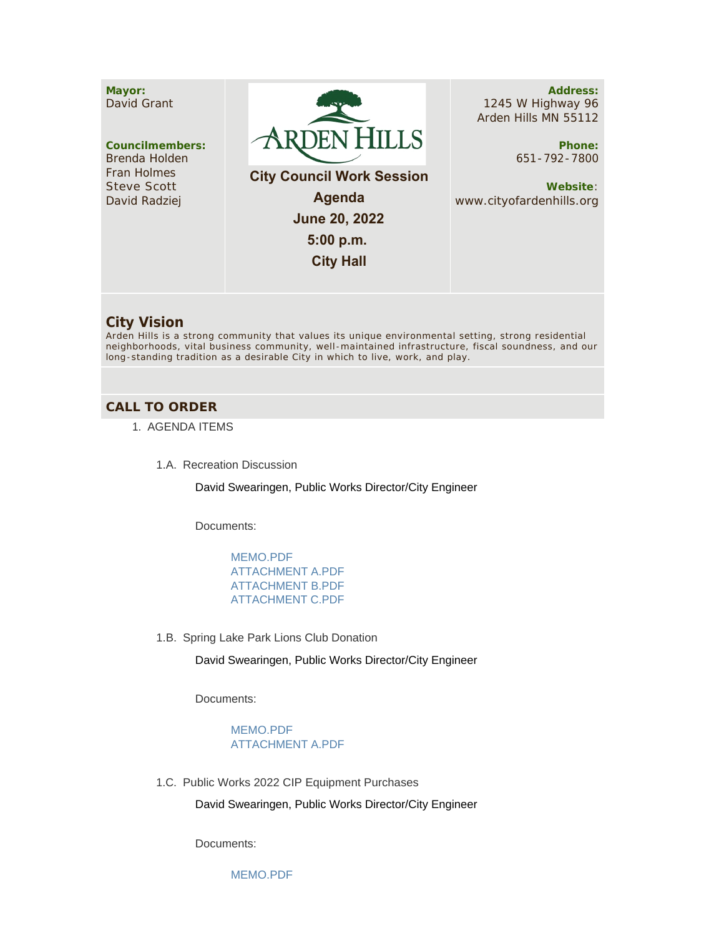## **Mayor:** David Grant

**Councilmembers:** Brenda Holden Fran Holmes Steve Scott David Radziej



 **City Council Work Session Agenda June 20, 2022 5:00 p.m. City Hall**

**Address:** 1245 W Highway 96 Arden Hills MN 55112

> **Phone:** 651-792-7800

**Website**: www.cityofardenhills.org

## **City Vision**

Arden Hills is a strong community that values its unique environmental setting, strong residential neighborhoods, vital business community, well -maintained infrastructure, fiscal soundness, and our long-standing tradition as a desirable City in which to live, work, and play.

## **CALL TO ORDER**

- 1. AGENDA ITEMS
	- 1.A. Recreation Discussion

David Swearingen, Public Works Director/City Engineer

Documents:

[MEMO.PDF](https://www.cityofardenhills.org/AgendaCenter/ViewFile/Item/9017?fileID=13986) [ATTACHMENT A.PDF](https://www.cityofardenhills.org/AgendaCenter/ViewFile/Item/9017?fileID=13987) [ATTACHMENT B.PDF](https://www.cityofardenhills.org/AgendaCenter/ViewFile/Item/9017?fileID=13988) [ATTACHMENT C.PDF](https://www.cityofardenhills.org/AgendaCenter/ViewFile/Item/9017?fileID=13989)

1.B. Spring Lake Park Lions Club Donation

David Swearingen, Public Works Director/City Engineer

Documents:

[MEMO.PDF](https://www.cityofardenhills.org/AgendaCenter/ViewFile/Item/9018?fileID=13975) [ATTACHMENT A.PDF](https://www.cityofardenhills.org/AgendaCenter/ViewFile/Item/9018?fileID=13976)

1.C. Public Works 2022 CIP Equipment Purchases

David Swearingen, Public Works Director/City Engineer

Documents:

[MEMO.PDF](https://www.cityofardenhills.org/AgendaCenter/ViewFile/Item/9019?fileID=13977)